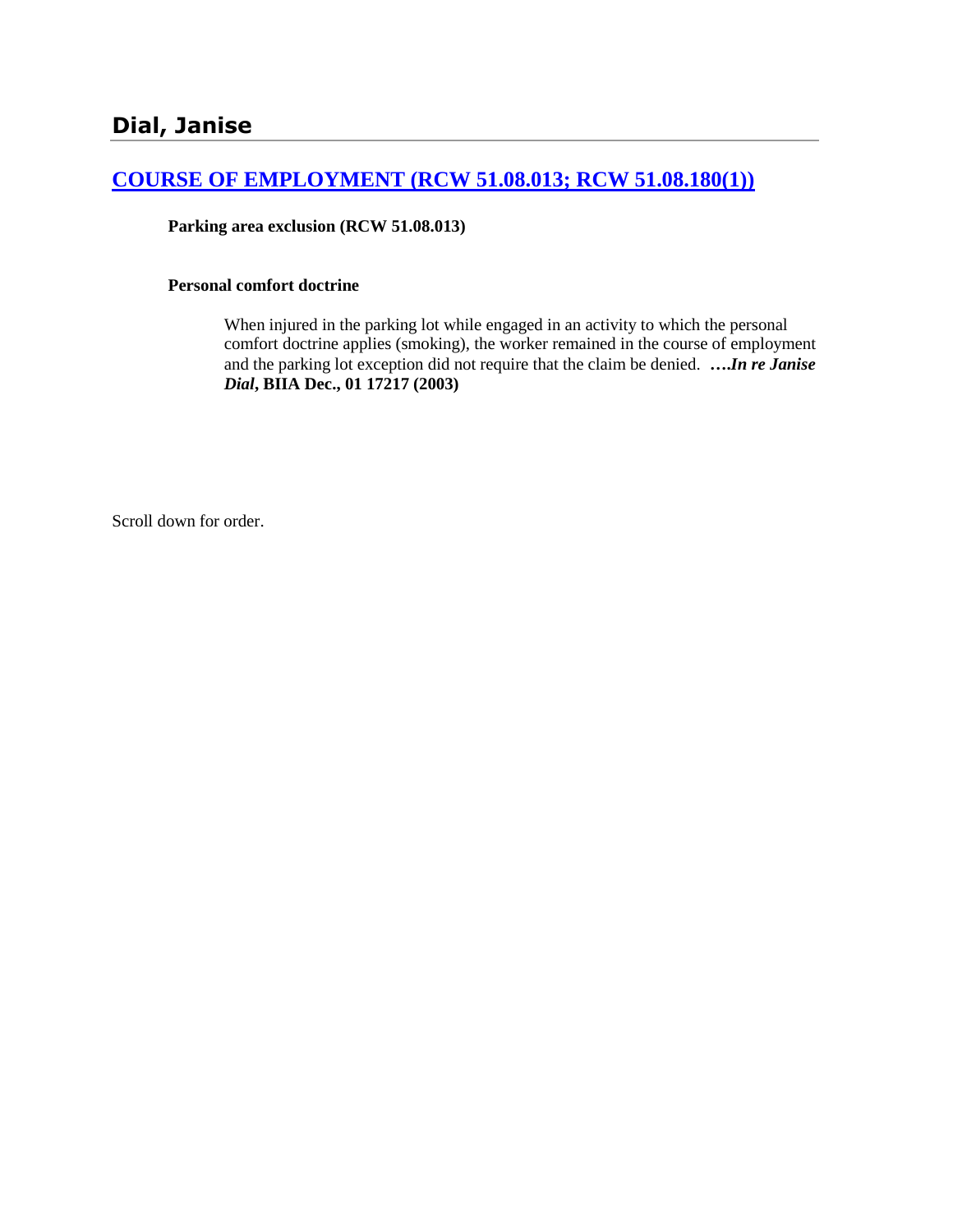# **[COURSE OF EMPLOYMENT \(RCW 51.08.013; RCW 51.08.180\(1\)\)](http://www.biia.wa.gov/SDSubjectIndex.html#COURSE_OF_EMPLOYMENT)**

**Parking area exclusion (RCW 51.08.013)**

### **Personal comfort doctrine**

When injured in the parking lot while engaged in an activity to which the personal comfort doctrine applies (smoking), the worker remained in the course of employment and the parking lot exception did not require that the claim be denied. **….***In re Janise Dial***, BIIA Dec., 01 17217 (2003)** 

Scroll down for order.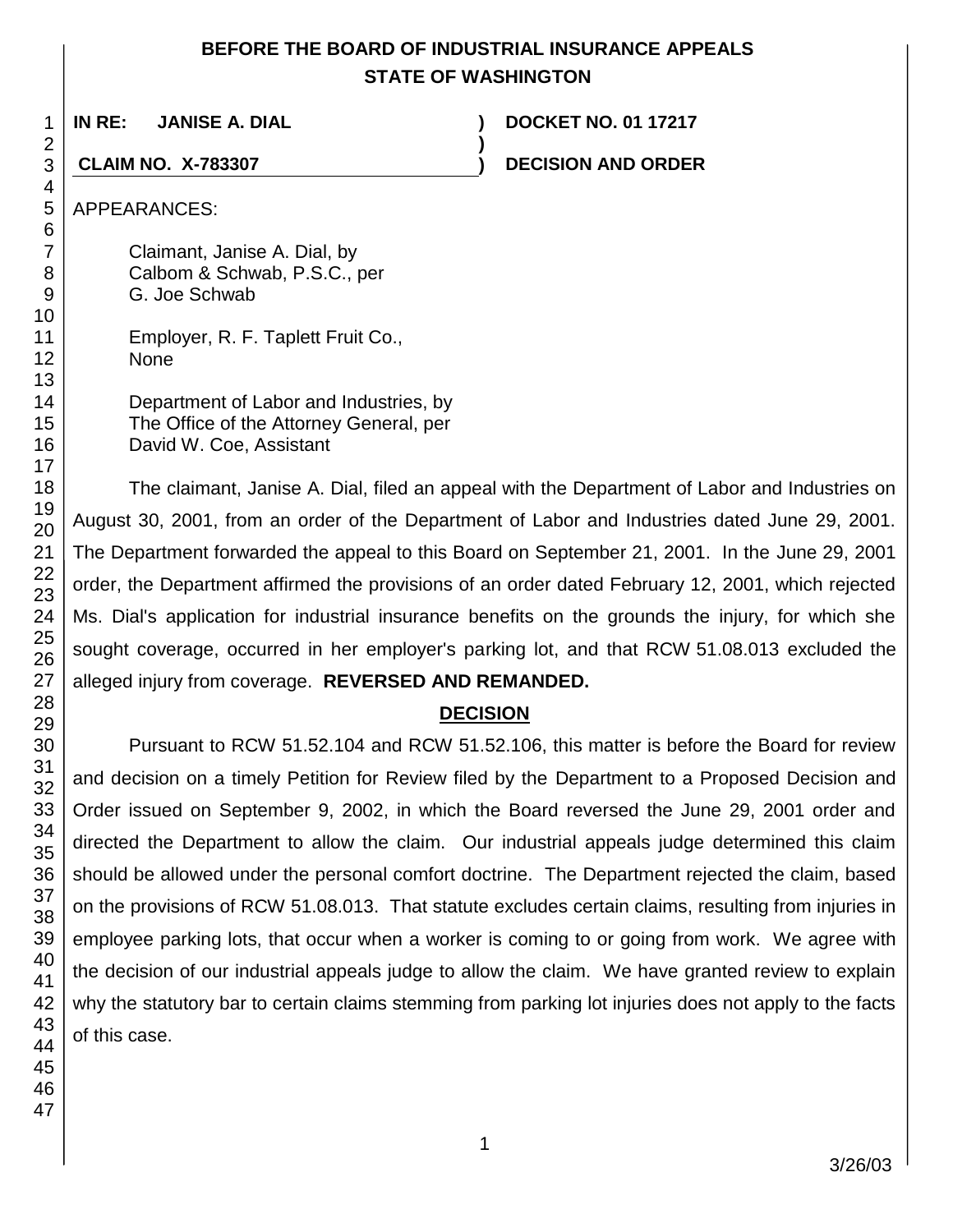# **BEFORE THE BOARD OF INDUSTRIAL INSURANCE APPEALS STATE OF WASHINGTON**

**)**

**IN RE: JANISE A. DIAL ) DOCKET NO. 01 17217**

**CLAIM NO. X-783307 ) DECISION AND ORDER**

APPEARANCES:

Claimant, Janise A. Dial, by Calbom & Schwab, P.S.C., per G. Joe Schwab

Employer, R. F. Taplett Fruit Co., None

| Department of Labor and Industries, by  |
|-----------------------------------------|
| The Office of the Attorney General, per |
| David W. Coe, Assistant                 |

The claimant, Janise A. Dial, filed an appeal with the Department of Labor and Industries on August 30, 2001, from an order of the Department of Labor and Industries dated June 29, 2001. The Department forwarded the appeal to this Board on September 21, 2001. In the June 29, 2001 order, the Department affirmed the provisions of an order dated February 12, 2001, which rejected Ms. Dial's application for industrial insurance benefits on the grounds the injury, for which she sought coverage, occurred in her employer's parking lot, and that RCW 51.08.013 excluded the alleged injury from coverage. **REVERSED AND REMANDED.**

# **DECISION**

Pursuant to RCW 51.52.104 and RCW 51.52.106, this matter is before the Board for review and decision on a timely Petition for Review filed by the Department to a Proposed Decision and Order issued on September 9, 2002, in which the Board reversed the June 29, 2001 order and directed the Department to allow the claim. Our industrial appeals judge determined this claim should be allowed under the personal comfort doctrine. The Department rejected the claim, based on the provisions of RCW 51.08.013. That statute excludes certain claims, resulting from injuries in employee parking lots, that occur when a worker is coming to or going from work. We agree with the decision of our industrial appeals judge to allow the claim. We have granted review to explain why the statutory bar to certain claims stemming from parking lot injuries does not apply to the facts of this case.

1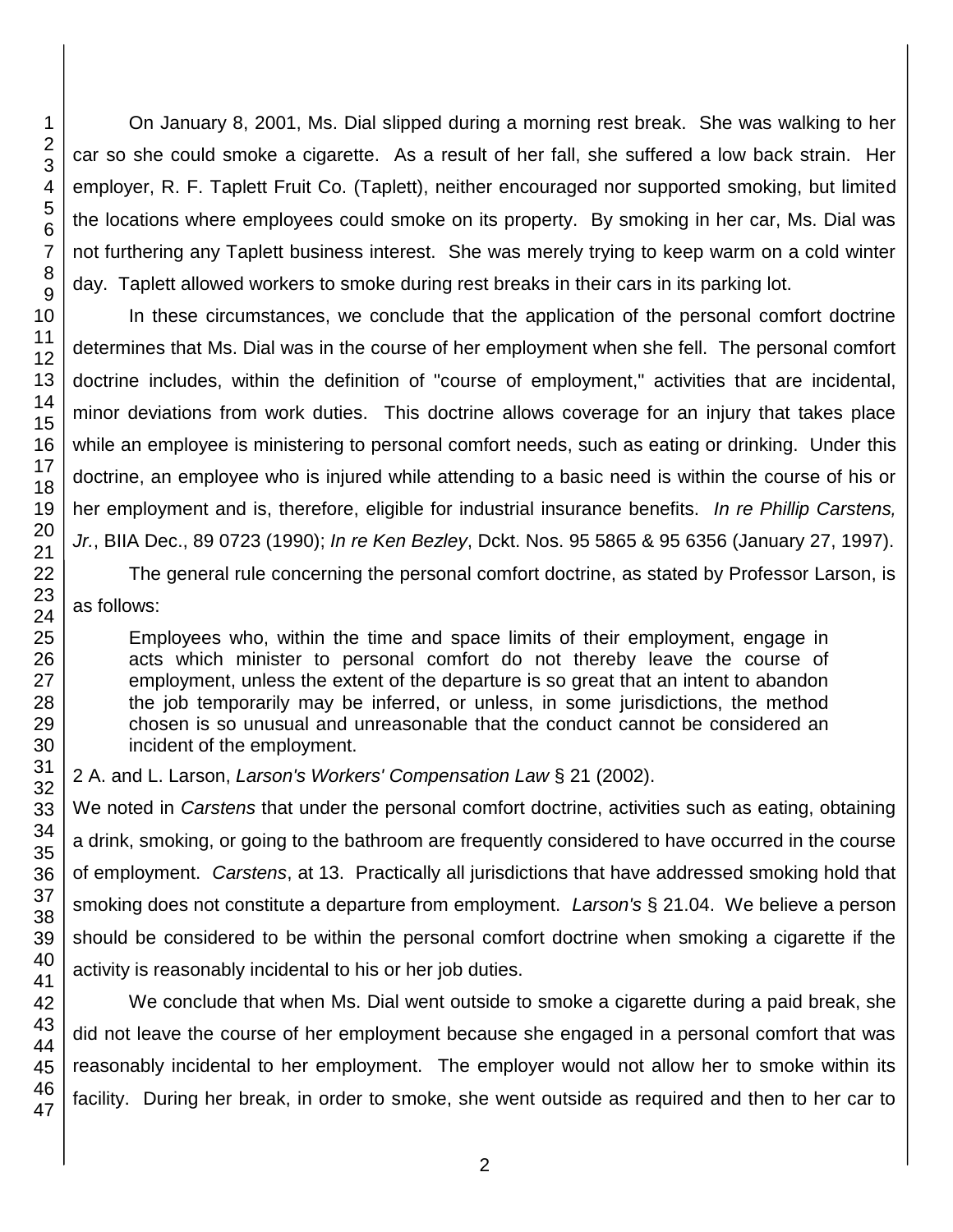On January 8, 2001, Ms. Dial slipped during a morning rest break. She was walking to her car so she could smoke a cigarette. As a result of her fall, she suffered a low back strain. Her employer, R. F. Taplett Fruit Co. (Taplett), neither encouraged nor supported smoking, but limited the locations where employees could smoke on its property. By smoking in her car, Ms. Dial was not furthering any Taplett business interest. She was merely trying to keep warm on a cold winter day. Taplett allowed workers to smoke during rest breaks in their cars in its parking lot.

In these circumstances, we conclude that the application of the personal comfort doctrine determines that Ms. Dial was in the course of her employment when she fell. The personal comfort doctrine includes, within the definition of "course of employment," activities that are incidental, minor deviations from work duties. This doctrine allows coverage for an injury that takes place while an employee is ministering to personal comfort needs, such as eating or drinking. Under this doctrine, an employee who is injured while attending to a basic need is within the course of his or her employment and is, therefore, eligible for industrial insurance benefits. *In re Phillip Carstens, Jr.*, BIIA Dec., 89 0723 (1990); *In re Ken Bezley*, Dckt. Nos. 95 5865 & 95 6356 (January 27, 1997).

The general rule concerning the personal comfort doctrine, as stated by Professor Larson, is as follows:

Employees who, within the time and space limits of their employment, engage in acts which minister to personal comfort do not thereby leave the course of employment, unless the extent of the departure is so great that an intent to abandon the job temporarily may be inferred, or unless, in some jurisdictions, the method chosen is so unusual and unreasonable that the conduct cannot be considered an incident of the employment.

2 A. and L. Larson, *Larson's Workers' Compensation Law* § 21 (2002).

We noted in *Carstens* that under the personal comfort doctrine, activities such as eating, obtaining a drink, smoking, or going to the bathroom are frequently considered to have occurred in the course of employment. *Carstens*, at 13. Practically all jurisdictions that have addressed smoking hold that smoking does not constitute a departure from employment. *Larson's* § 21.04. We believe a person should be considered to be within the personal comfort doctrine when smoking a cigarette if the activity is reasonably incidental to his or her job duties.

We conclude that when Ms. Dial went outside to smoke a cigarette during a paid break, she did not leave the course of her employment because she engaged in a personal comfort that was reasonably incidental to her employment. The employer would not allow her to smoke within its facility. During her break, in order to smoke, she went outside as required and then to her car to

1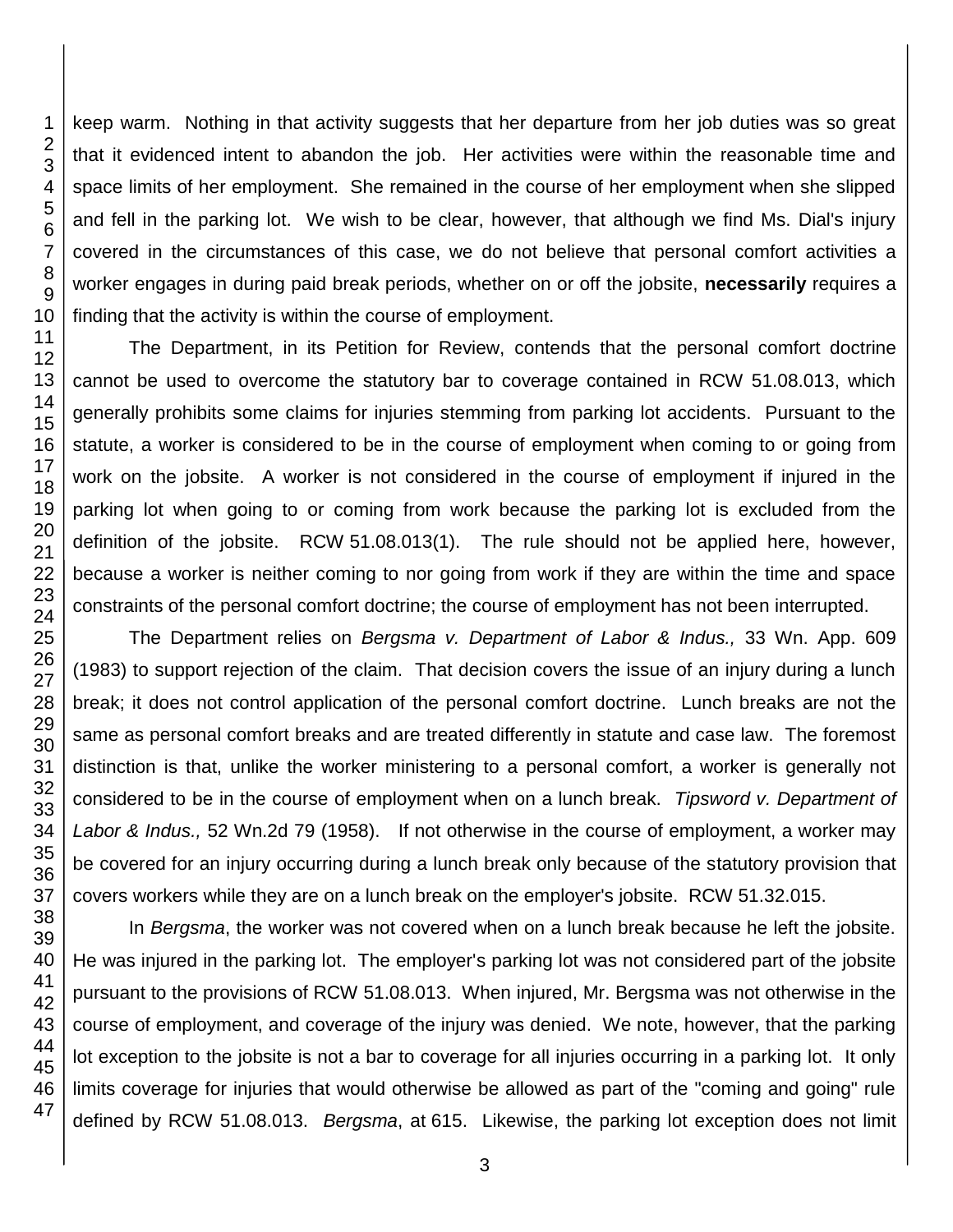keep warm. Nothing in that activity suggests that her departure from her job duties was so great that it evidenced intent to abandon the job. Her activities were within the reasonable time and space limits of her employment. She remained in the course of her employment when she slipped and fell in the parking lot. We wish to be clear, however, that although we find Ms. Dial's injury covered in the circumstances of this case, we do not believe that personal comfort activities a worker engages in during paid break periods, whether on or off the jobsite, **necessarily** requires a finding that the activity is within the course of employment.

The Department, in its Petition for Review, contends that the personal comfort doctrine cannot be used to overcome the statutory bar to coverage contained in RCW 51.08.013, which generally prohibits some claims for injuries stemming from parking lot accidents. Pursuant to the statute, a worker is considered to be in the course of employment when coming to or going from work on the jobsite. A worker is not considered in the course of employment if injured in the parking lot when going to or coming from work because the parking lot is excluded from the definition of the jobsite. RCW 51.08.013(1). The rule should not be applied here, however, because a worker is neither coming to nor going from work if they are within the time and space constraints of the personal comfort doctrine; the course of employment has not been interrupted.

The Department relies on *Bergsma v. Department of Labor & Indus.,* 33 Wn. App. 609 (1983) to support rejection of the claim. That decision covers the issue of an injury during a lunch break; it does not control application of the personal comfort doctrine. Lunch breaks are not the same as personal comfort breaks and are treated differently in statute and case law. The foremost distinction is that, unlike the worker ministering to a personal comfort, a worker is generally not considered to be in the course of employment when on a lunch break. *Tipsword v. Department of Labor & Indus.,* 52 Wn.2d 79 (1958). If not otherwise in the course of employment, a worker may be covered for an injury occurring during a lunch break only because of the statutory provision that covers workers while they are on a lunch break on the employer's jobsite. RCW 51.32.015.

In *Bergsma*, the worker was not covered when on a lunch break because he left the jobsite. He was injured in the parking lot. The employer's parking lot was not considered part of the jobsite pursuant to the provisions of RCW 51.08.013. When injured, Mr. Bergsma was not otherwise in the course of employment, and coverage of the injury was denied. We note, however, that the parking lot exception to the jobsite is not a bar to coverage for all injuries occurring in a parking lot. It only limits coverage for injuries that would otherwise be allowed as part of the "coming and going" rule defined by RCW 51.08.013. *Bergsma*, at 615. Likewise, the parking lot exception does not limit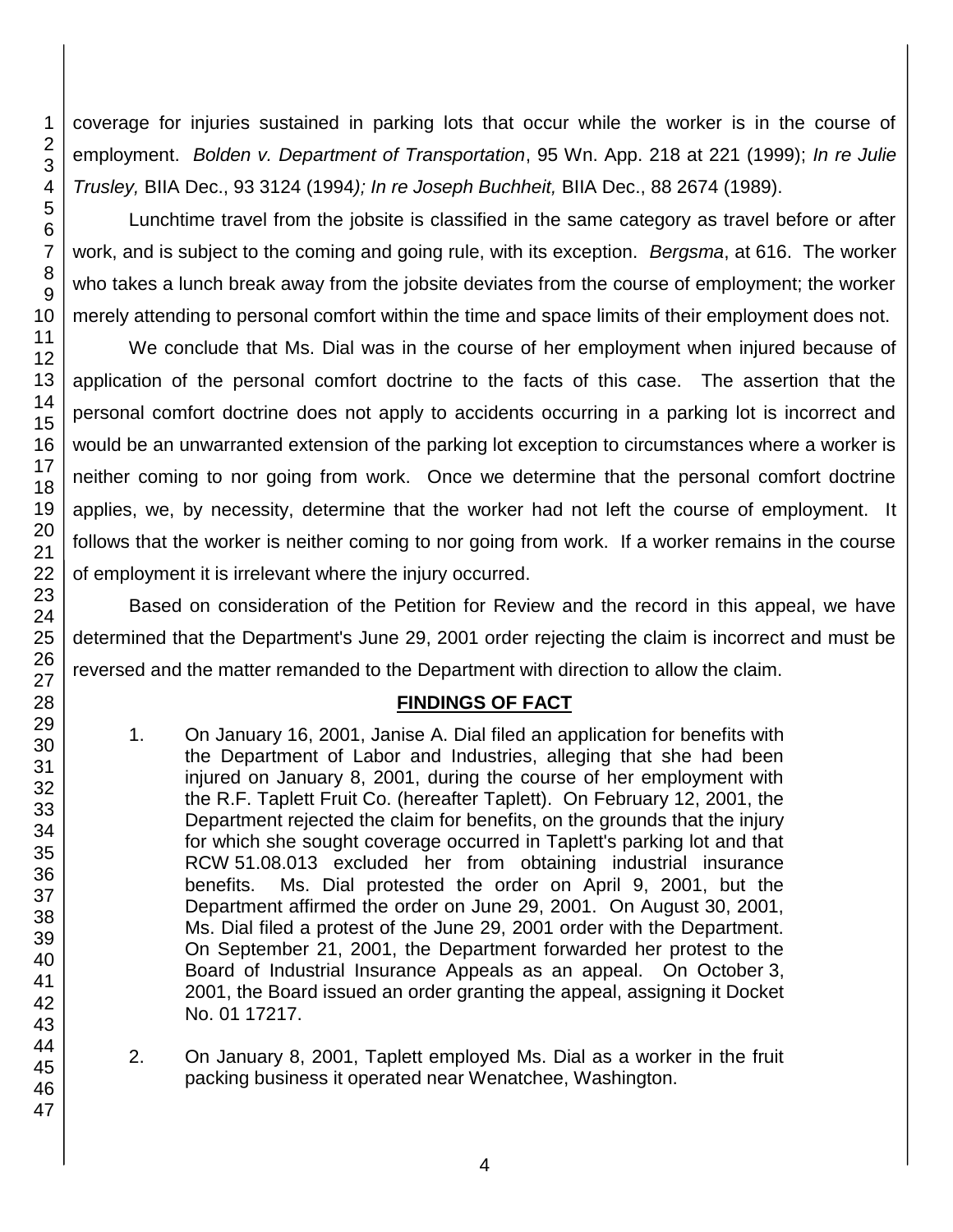coverage for injuries sustained in parking lots that occur while the worker is in the course of employment. *Bolden v. Department of Transportation*, 95 Wn. App. 218 at 221 (1999); *In re Julie Trusley,* BIIA Dec., 93 3124 (1994*); In re Joseph Buchheit,* BIIA Dec., 88 2674 (1989).

Lunchtime travel from the jobsite is classified in the same category as travel before or after work, and is subject to the coming and going rule, with its exception. *Bergsma*, at 616. The worker who takes a lunch break away from the jobsite deviates from the course of employment; the worker merely attending to personal comfort within the time and space limits of their employment does not.

We conclude that Ms. Dial was in the course of her employment when injured because of application of the personal comfort doctrine to the facts of this case. The assertion that the personal comfort doctrine does not apply to accidents occurring in a parking lot is incorrect and would be an unwarranted extension of the parking lot exception to circumstances where a worker is neither coming to nor going from work. Once we determine that the personal comfort doctrine applies, we, by necessity, determine that the worker had not left the course of employment. It follows that the worker is neither coming to nor going from work. If a worker remains in the course of employment it is irrelevant where the injury occurred.

Based on consideration of the Petition for Review and the record in this appeal, we have determined that the Department's June 29, 2001 order rejecting the claim is incorrect and must be reversed and the matter remanded to the Department with direction to allow the claim.

## **FINDINGS OF FACT**

- 1. On January 16, 2001, Janise A. Dial filed an application for benefits with the Department of Labor and Industries, alleging that she had been injured on January 8, 2001, during the course of her employment with the R.F. Taplett Fruit Co. (hereafter Taplett). On February 12, 2001, the Department rejected the claim for benefits, on the grounds that the injury for which she sought coverage occurred in Taplett's parking lot and that RCW 51.08.013 excluded her from obtaining industrial insurance benefits. Ms. Dial protested the order on April 9, 2001, but the Department affirmed the order on June 29, 2001. On August 30, 2001, Ms. Dial filed a protest of the June 29, 2001 order with the Department. On September 21, 2001, the Department forwarded her protest to the Board of Industrial Insurance Appeals as an appeal. On October 3, 2001, the Board issued an order granting the appeal, assigning it Docket No. 01 17217.
- 2. On January 8, 2001, Taplett employed Ms. Dial as a worker in the fruit packing business it operated near Wenatchee, Washington.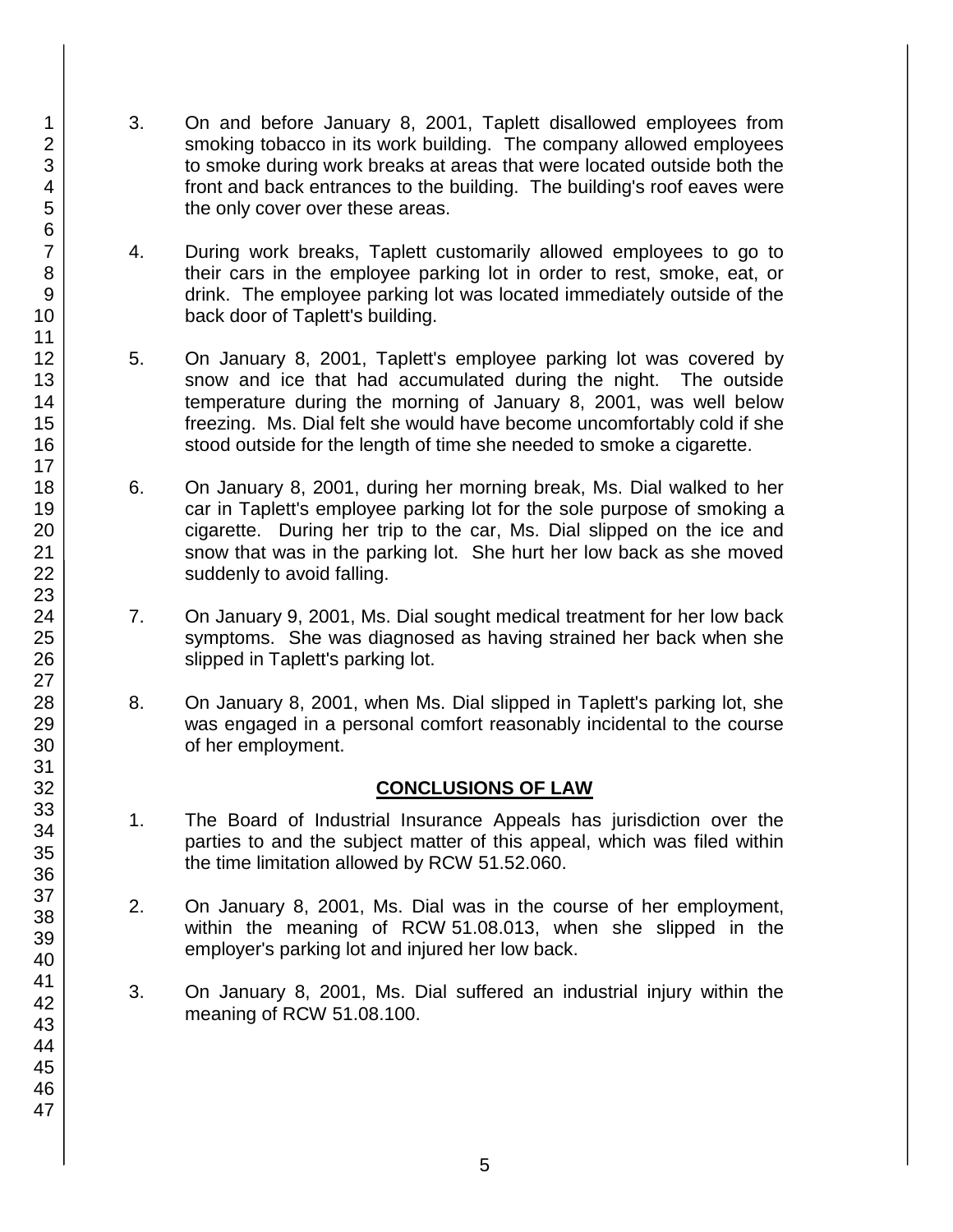- 3. On and before January 8, 2001, Taplett disallowed employees from smoking tobacco in its work building. The company allowed employees to smoke during work breaks at areas that were located outside both the front and back entrances to the building. The building's roof eaves were the only cover over these areas.
- 4. During work breaks, Taplett customarily allowed employees to go to their cars in the employee parking lot in order to rest, smoke, eat, or drink. The employee parking lot was located immediately outside of the back door of Taplett's building.
- 5. On January 8, 2001, Taplett's employee parking lot was covered by snow and ice that had accumulated during the night. The outside temperature during the morning of January 8, 2001, was well below freezing. Ms. Dial felt she would have become uncomfortably cold if she stood outside for the length of time she needed to smoke a cigarette.
- 6. On January 8, 2001, during her morning break, Ms. Dial walked to her car in Taplett's employee parking lot for the sole purpose of smoking a cigarette. During her trip to the car, Ms. Dial slipped on the ice and snow that was in the parking lot. She hurt her low back as she moved suddenly to avoid falling.
- 7. On January 9, 2001, Ms. Dial sought medical treatment for her low back symptoms. She was diagnosed as having strained her back when she slipped in Taplett's parking lot.
- 8. On January 8, 2001, when Ms. Dial slipped in Taplett's parking lot, she was engaged in a personal comfort reasonably incidental to the course of her employment.

# **CONCLUSIONS OF LAW**

- 1. The Board of Industrial Insurance Appeals has jurisdiction over the parties to and the subject matter of this appeal, which was filed within the time limitation allowed by RCW 51.52.060.
- 2. On January 8, 2001, Ms. Dial was in the course of her employment, within the meaning of RCW 51.08.013, when she slipped in the employer's parking lot and injured her low back.
- 3. On January 8, 2001, Ms. Dial suffered an industrial injury within the meaning of RCW 51.08.100.